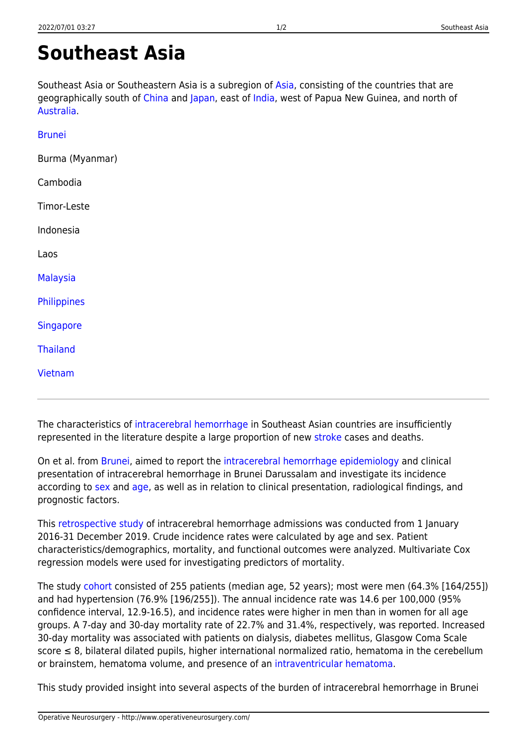## <span id="page-0-0"></span>**Southeast Asia**

Southeast Asia or Southeastern Asia is a subregion of [Asia](http://www.operativeneurosurgery.com/doku.php?id=asia), consisting of the countries that are geographically south of [China](http://www.operativeneurosurgery.com/doku.php?id=china) and [Japan,](http://www.operativeneurosurgery.com/doku.php?id=japan) east of [India](http://www.operativeneurosurgery.com/doku.php?id=india), west of Papua New Guinea, and north of [Australia](http://www.operativeneurosurgery.com/doku.php?id=australia).

| <b>Brunei</b>    |  |
|------------------|--|
| Burma (Myanmar)  |  |
| Cambodia         |  |
| Timor-Leste      |  |
| Indonesia        |  |
| Laos             |  |
| <b>Malaysia</b>  |  |
| Philippines      |  |
| <b>Singapore</b> |  |
| <b>Thailand</b>  |  |
| Vietnam          |  |
|                  |  |

The characteristics of [intracerebral hemorrhage](http://www.operativeneurosurgery.com/doku.php?id=intracerebral_hemorrhage) in Southeast Asian countries are insufficiently represented in the literature despite a large proportion of new [stroke](http://www.operativeneurosurgery.com/doku.php?id=stroke) cases and deaths.

On et al. from [Brunei,](http://www.operativeneurosurgery.com/doku.php?id=brunei) aimed to report the [intracerebral hemorrhage epidemiology](http://www.operativeneurosurgery.com/doku.php?id=intracerebral_hemorrhage_epidemiology) and clinical presentation of intracerebral hemorrhage in Brunei Darussalam and investigate its incidence according to [sex](http://www.operativeneurosurgery.com/doku.php?id=sex) and [age,](http://www.operativeneurosurgery.com/doku.php?id=age) as well as in relation to clinical presentation, radiological findings, and prognostic factors.

This [retrospective](http://www.operativeneurosurgery.com/doku.php?id=retrospective) [study](http://www.operativeneurosurgery.com/doku.php?id=study) of intracerebral hemorrhage admissions was conducted from 1 January 2016-31 December 2019. Crude incidence rates were calculated by age and sex. Patient characteristics/demographics, mortality, and functional outcomes were analyzed. Multivariate Cox regression models were used for investigating predictors of mortality.

The study [cohort](http://www.operativeneurosurgery.com/doku.php?id=cohort) consisted of 255 patients (median age, 52 years); most were men (64.3% [164/255]) and had hypertension (76.9% [196/255]). The annual incidence rate was 14.6 per 100,000 (95% confidence interval, 12.9-16.5), and incidence rates were higher in men than in women for all age groups. A 7-day and 30-day mortality rate of 22.7% and 31.4%, respectively, was reported. Increased 30-day mortality was associated with patients on dialysis, diabetes mellitus, Glasgow Coma Scale score ≤ 8, bilateral dilated pupils, higher international normalized ratio, hematoma in the cerebellum or brainstem, hematoma volume, and presence of an [intraventricular hematoma](http://www.operativeneurosurgery.com/doku.php?id=intraventricular_hematoma).

This study provided insight into several aspects of the burden of intracerebral hemorrhage in Brunei